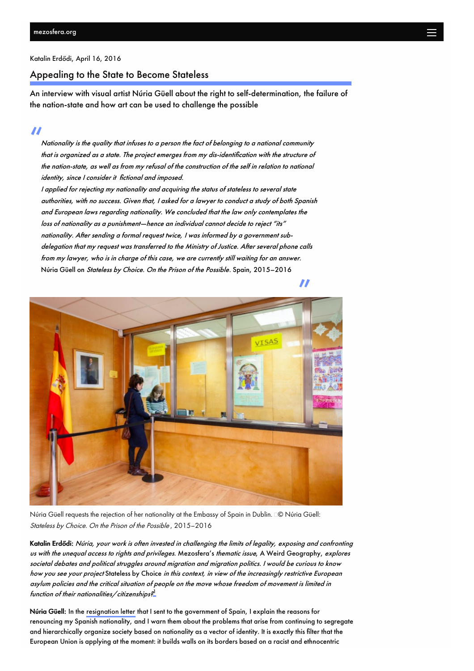<span id="page-0-0"></span>[Katalin](http://mezosfera.org/author/katalinerdodi/) Erdődi, April 16, [2016](#page-0-0)

## Appealing to the State to Become Stateless

An interview with visual artist Núria Güell about the right to self-determination, the failure of the nation-state and how art can be used to challenge the possible

"<br>" Nati Nationality is the quality that infuses to <sup>a</sup> person the fact of belonging to <sup>a</sup> national community that is organized as <sup>a</sup> state. The project emerges from my dis-identification with the structure of the nation-state, as well as from my refusal of the construction of the self in relation to national identity, since <sup>I</sup> consider it fictional and imposed.

<sup>I</sup> applied for rejecting my nationality and acquiring the status of stateless to several state authorities, with no success. Given that, <sup>I</sup> asked for <sup>a</sup> lawyer to conduct <sup>a</sup> study of both Spanish and European laws regarding nationality. We concluded that the law only contemplates the loss of nationality as <sup>a</sup> punishment—hence an individual cannot decide to reject "its" nationality. After sending <sup>a</sup> formal request twice, <sup>I</sup> was informed by <sup>a</sup> government subdelegation that my request was transferred to the Ministry of Justice. After several phone calls from my lawyer, who is in charge of this case, we are currently still waiting for an answer. Núria Güell on Stateless by Choice. On the Prison of the Possible. Spain, 2015–2016



Núria Güell requests the rejection of her nationality at the Embassy of Spain in Dublin. © Núria Güell: Stateless by Choice. On the Prison of the Possible , 2015–2016

Katalin Erdődi: Núria, your work is often invested in challenging the limits of legality, exposing and confronting us with the unequal access to rights and privileges. Mezosfera's thematic issue, A Weird Geography, explores societal debates and political struggles around migration and migration politics. I would be curious to know how you see your project Stateless by Choice in this context, in view of the increasingly restrictive European asylum policies and the critical situation of people on the move whose freedom of movement is limited in function of their nationalities/citizenships? [1](#page-4-0)

<span id="page-0-1"></span>Núria Güell: In the [resignation](http://tranzitblog.hu/en/wp-content/uploads/2016/04/resignation-letter-e1461150181411.jpg) letter that I sent to the government of Spain, I explain the reasons for renouncing my Spanish nationality, and I warn them about the problems that arise from continuing to segregate and hierarchically organize society based on nationality as a vector of identity. It is exactly this filter that the European Union is applying at the moment: it builds walls on its borders based on a racist and ethnocentric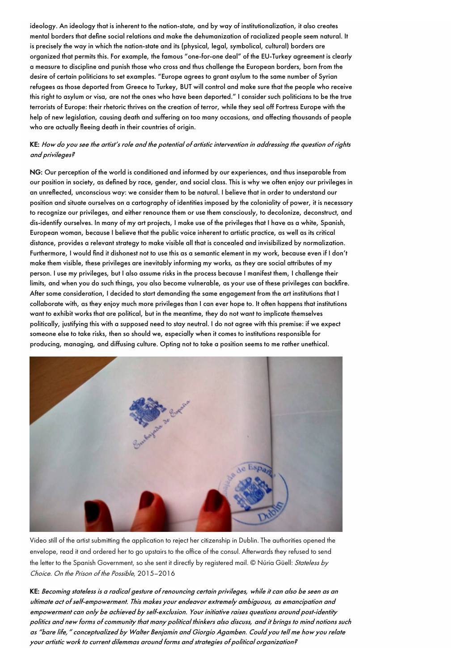ideology. An ideology that is inherent to the nation-state, and by way of institutionalization, it also creates mental borders that define social relations and make the dehumanization of racialized people seem natural. It is precisely the way in which the nation-state and its (physical, legal, symbolical, cultural) borders are organized that permits this. For example, the famous "one-for-one deal" of the EU-Turkey agreement is clearly a measure to discipline and punish those who cross and thus challenge the European borders, born from the desire of certain politicians to set examples. "Europe agrees to grant asylum to the same number of Syrian refugees as those deported from Greece to Turkey, BUT will control and make sure that the people who receive this right to asylum or visa, are not the ones who have been deported." I consider such politicians to be the true terrorists of Europe: their rhetoric thrives on the creation of terror, while they seal off Fortress Europe with the help of new legislation, causing death and suffering on too many occasions, and affecting thousands of people who are actually fleeing death in their countries of origin.

### KE: How do you see the artist's role and the potential of artistic intervention in addressing the question of rights and privileges?

NG: Our perception of the world is conditioned and informed by our experiences, and thus inseparable from our position in society, as defined by race, gender, and social class. This is why we often enjoy our privileges in an unreflected, unconscious way: we consider them to be natural. I believe that in order to understand our position and situate ourselves on a cartography of identities imposed by the coloniality of power, it is necessary to recognize our privileges, and either renounce them or use them consciously, to decolonize, deconstruct, and dis-identify ourselves. In many of my art projects, I make use of the privileges that I have as a white, Spanish, European woman, because I believe that the public voice inherent to artistic practice, as well as its critical distance, provides a relevant strategy to make visible all that is concealed and invisibilized by normalization. Furthermore, I would find it dishonest not to use this as a semantic element in my work, because even if I don't make them visible, these privileges are inevitably informing my works, as they are social attributes of my person. I use my privileges, but I also assume risks in the process because I manifest them, I challenge their limits, and when you do such things, you also become vulnerable, as your use of these privileges can backfire. After some consideration, I decided to start demanding the same engagement from the art institutions that I collaborate with, as they enjoy much more privileges than I can ever hope to. It often happens that institutions want to exhibit works that are political, but in the meantime, they do not want to implicate themselves politically, justifying this with a supposed need to stay neutral. I do not agree with this premise: if we expect someone else to take risks, then so should we, especially when it comes to institutions responsible for producing, managing, and diffusing culture. Opting not to take a position seems to me rather unethical.



Video still of the artist submitting the application to reject her citizenship in Dublin. The authorities opened the envelope, read it and ordered her to go upstairs to the office of the consul. Afterwards they refused to send the letter to the Spanish Government, so she sent it directly by registered mail. © Núria Güell: Stateless by Choice. On the Prison of the Possible, 2015–2016

KE: Becoming stateless is <sup>a</sup> radical gesture of renouncing certain privileges, while it can also be seen as an ultimate act of self-empowerment. This makes your endeavor extremely ambiguous, as emancipation and empowerment can only be achieved by self-exclusion. Your initiative raises questions around post-identity politics and new forms of community that many political thinkers also discuss, and it brings to mind notions such as "bare life," conceptualized by Walter Benjamin and Giorgio Agamben. Could you tell me how you relate your artistic work to current dilemmas around forms and strategies of political organization?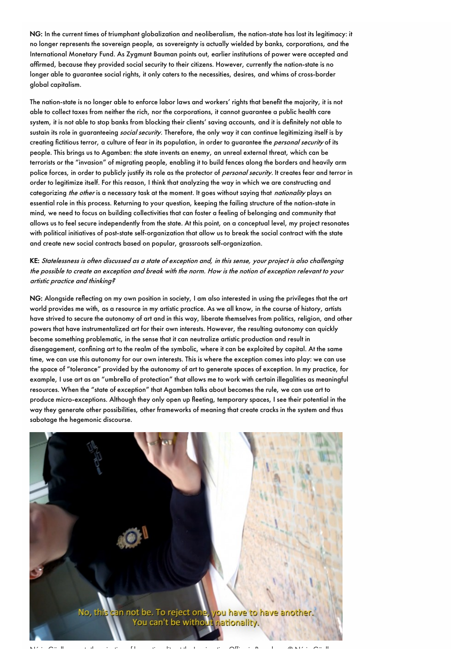NG: In the current times of triumphant globalization and neoliberalism, the nation-state has lost its legitimacy: it no longer represents the sovereign people, as sovereignty is actually wielded by banks, corporations, and the International Monetary Fund. As Zygmunt Bauman points out, earlier institutions of power were accepted and affirmed, because they provided social security to their citizens. However, currently the nation-state is no longer able to guarantee social rights, it only caters to the necessities, desires, and whims of cross-border global capitalism.

The nation-state is no longer able to enforce labor laws and workers' rights that benefit the majority, it is not able to collect taxes from neither the rich, nor the corporations, it cannot guarantee a public health care system, it is not able to stop banks from blocking their clients' saving accounts, and it is definitely not able to sustain its role in guaranteeing *social security*. Therefore, the only way it can continue legitimizing itself is by creating fictitious terror, a culture of fear in its population, in order to guarantee the *personal security* of its people. This brings us to Agamben: the state invents an enemy, an unreal external threat, which can be terrorists or the "invasion" of migrating people, enabling it to build fences along the borders and heavily arm police forces, in order to publicly justify its role as the protector of personal security. It creates fear and terror in order to legitimize itself. For this reason, I think that analyzing the way in which we are constructing and categorizing the other is a necessary task at the moment. It goes without saying that nationality plays an essential role in this process. Returning to your question, keeping the failing structure of the nation-state in mind, we need to focus on building collectivities that can foster a feeling of belonging and community that allows us to feel secure independently from the state. At this point, on a conceptual level, my project resonates with political initiatives of post-state self-organization that allow us to break the social contract with the state and create new social contracts based on popular, grassroots self-organization.

KE: Statelessness is often discussed as <sup>a</sup> state of exception and, in this sense, your project is also challenging the possible to create an exception and break with the norm. How is the notion of exception relevant to your artistic practice and thinking?

NG: Alongside reflecting on my own position in society, I am also interested in using the privileges that the art world provides me with, as a resource in my artistic practice. As we all know, in the course of history, artists have strived to secure the autonomy of art and in this way, liberate themselves from politics, religion, and other powers that have instrumentalized art for their own interests. However, the resulting autonomy can quickly become something problematic, in the sense that it can neutralize artistic production and result in disengagement, confining art to the realm of the symbolic, where it can be exploited by capital. At the same time, we can use this autonomy for our own interests. This is where the exception comes into play: we can use the space of "tolerance" provided by the autonomy of art to generate spaces of exception. In my practice, for example, I use art as an "umbrella of protection" that allows me to work with certain illegalities as meaningful resources. When the "state of exception" that Agamben talks about becomes the rule, we can use art to produce micro-exceptions. Although they only open up fleeting, temporary spaces, I see their potential in the way they generate other possibilities, other frameworks of meaning that create cracks in the system and thus sabotage the hegemonic discourse.



Núria Güell requests the rejection of her nationality at the Immigration Office in Barcelona. © Núria Güell: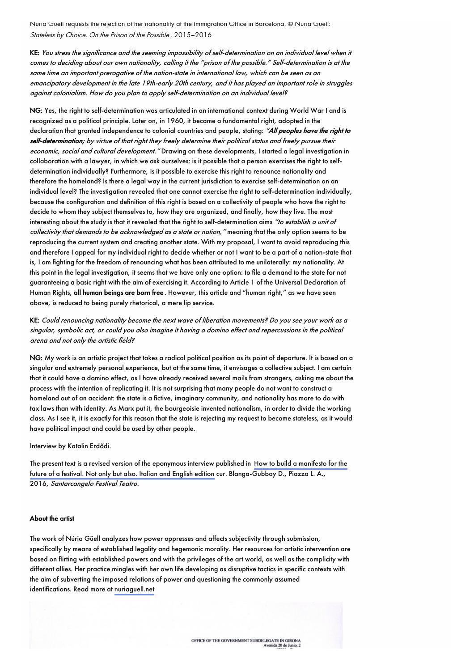Núria Güell requests the rejection of her nationality at the Immigration Office in Barcelona. © Núria Güell: Stateless by Choice. On the Prison of the Possible , 2015–2016

KE: You stress the significance and the seeming impossibility of self-determination on an individual level when it comes to deciding about our own nationality, calling it the "prison of the possible." Self-determination is at the same time an important prerogative of the nation-state in international law, which can be seen as an emancipatory development in the late 19th-early 20th century, and it has played an important role in struggles against colonialism. How do you plan to apply self-determination on an individual level?

NG: Yes, the right to self-determination was articulated in an international context during World War I and is recognized as a political principle. Later on, in 1960, it became a fundamental right, adopted in the declaration that granted independence to colonial countries and people, stating: "All peoples have the right to self-determination; by virtue of that right they freely determine their political status and freely pursue their economic, social and cultural development." Drawing on these developments, I started a legal investigation in collaboration with a lawyer, in which we ask ourselves: is it possible that a person exercises the right to selfdetermination individually? Furthermore, is it possible to exercise this right to renounce nationality and therefore the homeland? Is there a legal way in the current jurisdiction to exercise self-determination on an individual level? The investigation revealed that one cannot exercise the right to self-determination individually, because the configuration and definition of this right is based on a collectivity of people who have the right to decide to whom they subject themselves to, how they are organized, and finally, how they live. The most interesting about the study is that it revealed that the right to self-determination aims "to establish a unit of collectivity that demands to be acknowledged as a state or nation," meaning that the only option seems to be reproducing the current system and creating another state. With my proposal, I want to avoid reproducing this and therefore I appeal for my individual right to decide whether or not I want to be a part of a nation-state that is, I am fighting for the freedom of renouncing what has been attributed to me unilaterally: my nationality. At this point in the legal investigation, it seems that we have only one option: to file a demand to the state for not guaranteeing a basic right with the aim of exercising it. According to Article 1 of the Universal Declaration of Human Rights, all human beings are born free . However, this article and "human right," as we have seen above, is reduced to being purely rhetorical, a mere lip service.

KE: Could renouncing nationality become the next wave of liberation movements? Do you see your work as <sup>a</sup> singular, symbolic act, or could you also imagine it having <sup>a</sup> domino effect and repercussions in the political arena and not only the artistic field?

NG: My work is an artistic project that takes a radical political position as its point of departure. It is based on a singular and extremely personal experience, but at the same time, it envisages a collective subject. I am certain that it could have a domino effect, as I have already received several mails from strangers, asking me about the process with the intention of replicating it. It is not surprising that many people do not want to construct a homeland out of an accident: the state is a fictive, imaginary community, and nationality has more to do with tax laws than with identity. As Marx put it, the bourgeoisie invented nationalism, in order to divide the working class. As I see it, it is exactly for this reason that the state is rejecting my request to become stateless, as it would have political impact and could be used by other people.

Interview by Katalin Erdődi.

The present text is a revised version of the eponymous interview published in How to build a manifesto for the future of a festival. Not only but also. Italian and English edition cur. [Blanga-Gubbay](http://www.ibs.it/code/9788894106831/zzz99-blanga-gubbay-d-piazza/how-to-build-a.html) D., Piazza L. A., 2016, Santarcangelo Festival Teatro.

### About the artist

The work of Núria Güell analyzes how power oppresses and affects subjectivity through submission, specifically by means of established legality and hegemonic morality. Her resources for artistic intervention are based on flirting with established powers and with the privileges of the art world, as well as the complicity with different allies. Her practice mingles with her own life developing as disruptive tactics in specific contexts with the aim of subverting the imposed relations of power and questioning the commonly assumed identifications. Read more at [nuriaguell.net](http://www.nuriaguell.net)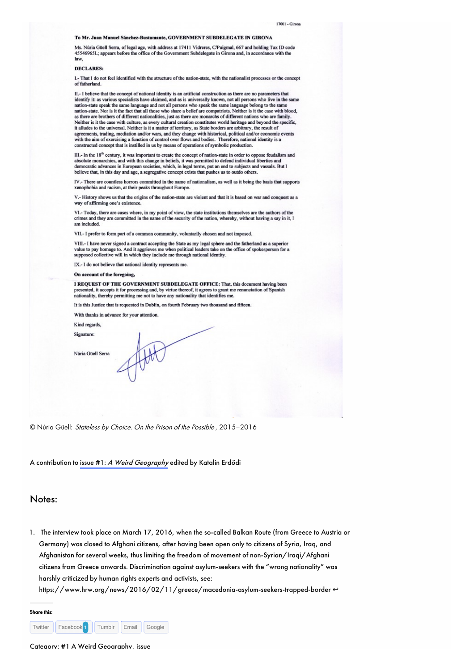### To Mr. Juan Manuel Sánchez-Bustamante, GOVERNMENT SUBDELEGATE IN GIRONA

Ms. Núria Güell Serra, of legal age, with address at 17411 Vidreres, C/Puigmal, 667 and holding Tax ID code 45546965L; appears before the office of the Government Subdelegate in Girona and, in accordance with the law.

#### **DECLARES:**

I.- That I do not feel identified with the structure of the nation-state, with the nationalist processes or the concept of fatherland

II.- I believe that the concept of national identity is an artificial construction as there are no parameters that identify it: as various specialists have claimed, and as is universally known, not all persons who live in the same nation-state speak the same language and not all persons who speak the same language belong to the same nation-state. Nor is it the fact that all those who share a belief are compatriots. Neither is it the case with blood, as there are brothers of different nationalities, just as there are monarchs of different nations who a Neither is it the case with culture, as every cultural creation constitutes world heritage and beyond the specific, it alludes to the universal. Neither is it a matter of territory, as State borders are arbitrary, the resu agreements, trading, mediation and/or wars, and they change with historical, political and/or economic events with the aim of exercising a function of control over flows and bodies. Therefore, national identity is a constructed concept that is instilled in us by means of operations of symbolic production.

III.- In the 18<sup>th</sup> century, it was important to create the concept of nation-state in order to oppose feudalism and absolute monarchies, and with this change in beliefs, it was permitted to defend individual liberties a democratic advances in European societies, which, in legal terms, put an end to subjects and vassals. But I believe that, in this day and age, a segregative concept exists that pushes us to outdo others.

IV - There are countless horrors committed in the name of nationalism, as well as it being the basis that supports xenophobia and racism, at their peaks throughout Europe.

V.- History shows us that the origins of the nation-state are violent and that it is based on war and conquest as a way of affirming one's existence

VI.- Today, there are cases where, in my point of view, the state institutions themselves are the authors of the crimes and they are committed in the name of the security of the nation, whereby, without having a say in it, I am included.

VII.- I prefer to form part of a common community, voluntarily chosen and not imposed.

VIII.- I have never signed a contract accepting the State as my legal sphere and the fatherland as a superior value to pay homage to. And it aggrieves me when political leaders take on the office of spokesperson for a supposed collective will in which they include me through national identity.

IX.- I do not believe that national identity represents me.

### On account of the foregoing,

I REQUEST OF THE GOVERNMENT SUBDELEGATE OFFICE: That, this document having been presented, it accepts it for processing and, by virtue thereof, it agrees to grant me renunciation of Spanish<br>nationality, thereby permitting me not to have any nationality that identifies me.

It is this Justice that is requested in Dublin, on fourth February two thousand and fifteen.

With thanks in advance for your attention.

Kind regards,

Signature:

Núria Güell Serra

© Núria Güell: Stateless by Choice. On the Prison of the Possible, 2015-2016

A contribution to issue #1: A Weird Geography edited by Katalin Erdődi

### Notes:

<span id="page-4-0"></span>1. The interview took place on March 17, 2016, when the so-called Balkan Route (from Greece to Austria or Germany) was closed to Afghani citizens, after having been open only to citizens of Syria, Iraq, and Afghanistan for several weeks, thus limiting the freedom of movement of non-Syrian/Iragi/Afghani citizens from Greece onwards. Discrimination against asylum-seekers with the "wrong nationality" was harshly criticized by human rights experts and activists, see:

https://www.hrw.org/news/2016/02/11/greece/macedonia-asylum-seekers-trapped-border ↔



Cateaorv: #1 A Weird Geoaraphy. issue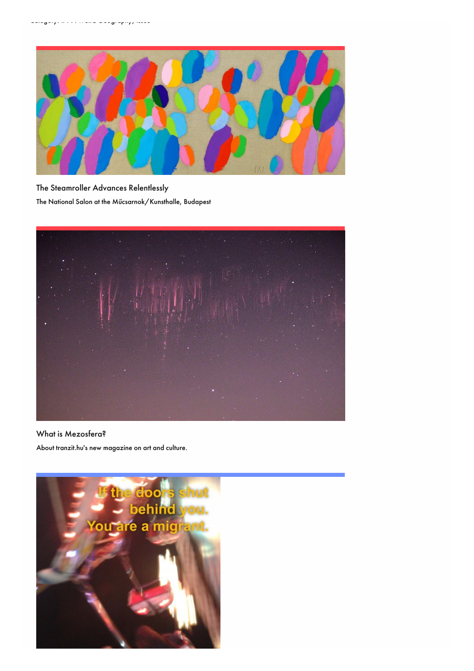

The [Steamroller](http://mezosfera.org/the-steamroller-advances-relentlessly/) Advances Relentlessly The National Salon at the Műcsarnok/Kunsthalle, Budapest



# What is [Mezosfera?](http://mezosfera.org/what-is-mezosfera/)

About tranzit.hu's new magazine on art and culture.

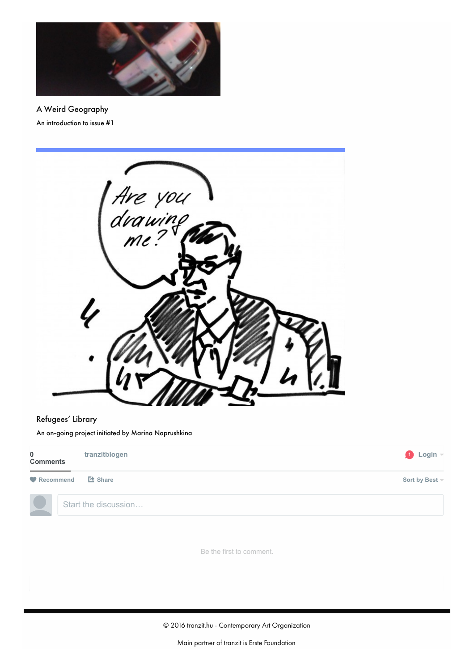

A Weird [Geography](http://mezosfera.org/a-weird-geography/) An introduction to issue #1



# [Refugees'](http://mezosfera.org/refugees-library/) Library

An on-going project initiated by Marina Naprushkina

| $\bf{0}$<br><b>Comments</b> | tranzitblogen        | $\bigcirc$ Login $\lnot$ |
|-----------------------------|----------------------|--------------------------|
| Recommend                   | L <sup>2</sup> Share | Sort by Best -           |
|                             | Start the discussion |                          |

Be the first to comment.

© 2016 tranzit.hu - Contemporary Art Organization